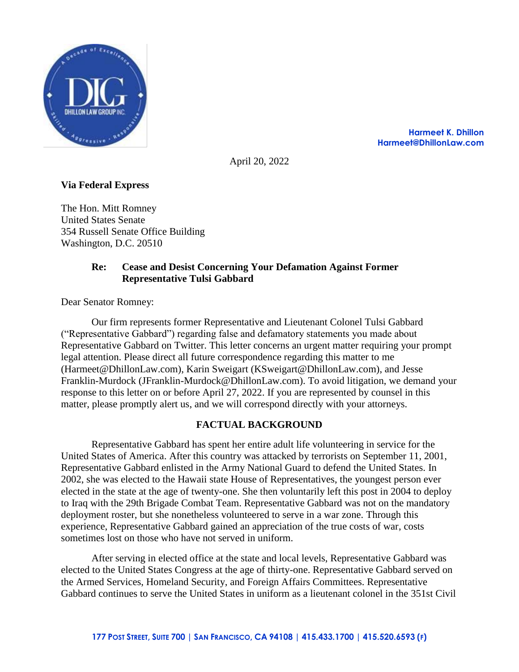

**Harmeet K. Dhillon Harmeet@DhillonLaw.com**

April 20, 2022

# **Via Federal Express**

The Hon. Mitt Romney United States Senate 354 Russell Senate Office Building Washington, D.C. 20510

## **Re: Cease and Desist Concerning Your Defamation Against Former Representative Tulsi Gabbard**

Dear Senator Romney:

Our firm represents former Representative and Lieutenant Colonel Tulsi Gabbard ("Representative Gabbard") regarding false and defamatory statements you made about Representative Gabbard on Twitter. This letter concerns an urgent matter requiring your prompt legal attention. Please direct all future correspondence regarding this matter to me (Harmeet@DhillonLaw.com), Karin Sweigart (KSweigart@DhillonLaw.com), and Jesse Franklin-Murdock (JFranklin-Murdock@DhillonLaw.com). To avoid litigation, we demand your response to this letter on or before April 27, 2022. If you are represented by counsel in this matter, please promptly alert us, and we will correspond directly with your attorneys.

## **FACTUAL BACKGROUND**

Representative Gabbard has spent her entire adult life volunteering in service for the United States of America. After this country was attacked by terrorists on September 11, 2001, Representative Gabbard enlisted in the Army National Guard to defend the United States. In 2002, she was elected to the Hawaii state House of Representatives, the youngest person ever elected in the state at the age of twenty-one. She then voluntarily left this post in 2004 to deploy to Iraq with the 29th Brigade Combat Team. Representative Gabbard was not on the mandatory deployment roster, but she nonetheless volunteered to serve in a war zone. Through this experience, Representative Gabbard gained an appreciation of the true costs of war, costs sometimes lost on those who have not served in uniform.

After serving in elected office at the state and local levels, Representative Gabbard was elected to the United States Congress at the age of thirty-one. Representative Gabbard served on the Armed Services, Homeland Security, and Foreign Affairs Committees. Representative Gabbard continues to serve the United States in uniform as a lieutenant colonel in the 351st Civil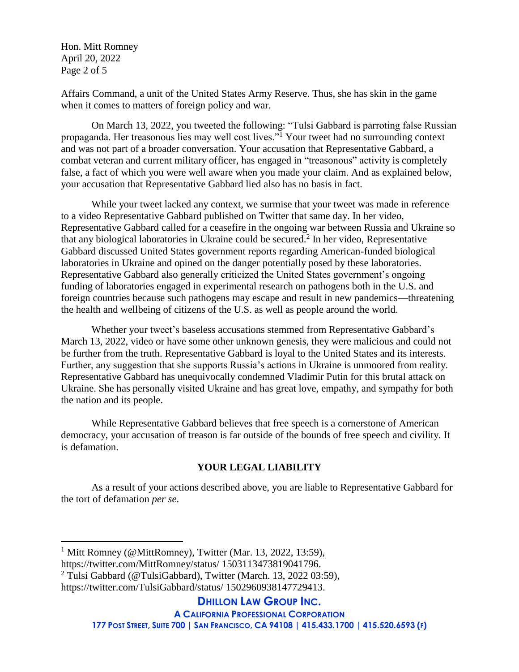Hon. Mitt Romney April 20, 2022 Page 2 of 5

Affairs Command, a unit of the United States Army Reserve. Thus, she has skin in the game when it comes to matters of foreign policy and war.

On March 13, 2022, you tweeted the following: "Tulsi Gabbard is parroting false Russian propaganda. Her treasonous lies may well cost lives."<sup>1</sup> Your tweet had no surrounding context and was not part of a broader conversation. Your accusation that Representative Gabbard, a combat veteran and current military officer, has engaged in "treasonous" activity is completely false, a fact of which you were well aware when you made your claim. And as explained below, your accusation that Representative Gabbard lied also has no basis in fact.

While your tweet lacked any context, we surmise that your tweet was made in reference to a video Representative Gabbard published on Twitter that same day. In her video, Representative Gabbard called for a ceasefire in the ongoing war between Russia and Ukraine so that any biological laboratories in Ukraine could be secured.<sup>2</sup> In her video, Representative Gabbard discussed United States government reports regarding American-funded biological laboratories in Ukraine and opined on the danger potentially posed by these laboratories. Representative Gabbard also generally criticized the United States government's ongoing funding of laboratories engaged in experimental research on pathogens both in the U.S. and foreign countries because such pathogens may escape and result in new pandemics—threatening the health and wellbeing of citizens of the U.S. as well as people around the world.

Whether your tweet's baseless accusations stemmed from Representative Gabbard's March 13, 2022, video or have some other unknown genesis, they were malicious and could not be further from the truth. Representative Gabbard is loyal to the United States and its interests. Further, any suggestion that she supports Russia's actions in Ukraine is unmoored from reality. Representative Gabbard has unequivocally condemned Vladimir Putin for this brutal attack on Ukraine. She has personally visited Ukraine and has great love, empathy, and sympathy for both the nation and its people.

While Representative Gabbard believes that free speech is a cornerstone of American democracy, your accusation of treason is far outside of the bounds of free speech and civility. It is defamation.

# **YOUR LEGAL LIABILITY**

As a result of your actions described above, you are liable to Representative Gabbard for the tort of defamation *per se*.

 $\overline{a}$ 

**DHILLON LAW GROUP INC.**

177 POST STREET, SUITE 700 | SAN FRANCISCO, CA 94108 | 415.433.1700 | 415.520.6593 (F)

<sup>&</sup>lt;sup>1</sup> Mitt Romney (@MittRomney), Twitter (Mar. 13, 2022, 13:59),

https://twitter.com/MittRomney/status/ 1503113473819041796.

<sup>2</sup> Tulsi Gabbard (@TulsiGabbard), Twitter (March. 13, 2022 03:59),

https://twitter.com/TulsiGabbard/status/ 1502960938147729413.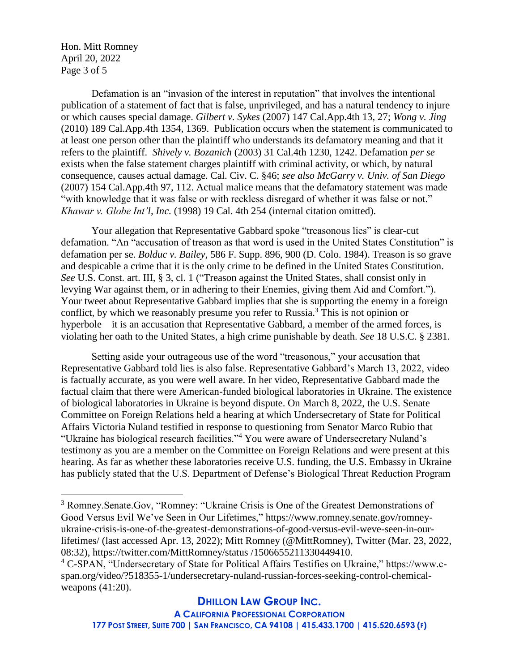Hon. Mitt Romney April 20, 2022 Page 3 of 5

 $\overline{a}$ 

Defamation is an "invasion of the interest in reputation" that involves the intentional publication of a statement of fact that is false, unprivileged, and has a natural tendency to injure or which causes special damage. *Gilbert v. Sykes* (2007) 147 Cal.App.4th 13, 27; *Wong v. Jing* (2010) 189 Cal.App.4th 1354, 1369. Publication occurs when the statement is communicated to at least one person other than the plaintiff who understands its defamatory meaning and that it refers to the plaintiff. *Shively v. Bozanich* (2003) 31 Cal.4th 1230, 1242. Defamation *per se* exists when the false statement charges plaintiff with criminal activity, or which, by natural consequence, causes actual damage. Cal. Civ. C. §46; *see also McGarry v. Univ. of San Diego* (2007) 154 Cal.App.4th 97, 112. Actual malice means that the defamatory statement was made "with knowledge that it was false or with reckless disregard of whether it was false or not." *Khawar v. Globe Int'l, Inc.* (1998) 19 Cal. 4th 254 (internal citation omitted).

Your allegation that Representative Gabbard spoke "treasonous lies" is clear-cut defamation. "An "accusation of treason as that word is used in the United States Constitution" is defamation per se. *Bolduc v. Bailey*, 586 F. Supp. 896, 900 (D. Colo. 1984). Treason is so grave and despicable a crime that it is the only crime to be defined in the United States Constitution. *See* U.S. Const. art. III, § 3, cl. 1 ("Treason against the United States, shall consist only in levying War against them, or in adhering to their Enemies, giving them Aid and Comfort."). Your tweet about Representative Gabbard implies that she is supporting the enemy in a foreign conflict, by which we reasonably presume you refer to Russia. <sup>3</sup> This is not opinion or hyperbole—it is an accusation that Representative Gabbard, a member of the armed forces, is violating her oath to the United States, a high crime punishable by death. *See* 18 U.S.C. § 2381.

Setting aside your outrageous use of the word "treasonous," your accusation that Representative Gabbard told lies is also false. Representative Gabbard's March 13, 2022, video is factually accurate, as you were well aware. In her video, Representative Gabbard made the factual claim that there were American-funded biological laboratories in Ukraine. The existence of biological laboratories in Ukraine is beyond dispute. On March 8, 2022, the U.S. Senate Committee on Foreign Relations held a hearing at which Undersecretary of State for Political Affairs Victoria Nuland testified in response to questioning from Senator Marco Rubio that "Ukraine has biological research facilities."<sup>4</sup> You were aware of Undersecretary Nuland's testimony as you are a member on the Committee on Foreign Relations and were present at this hearing. As far as whether these laboratories receive U.S. funding, the U.S. Embassy in Ukraine has publicly stated that the U.S. Department of Defense's Biological Threat Reduction Program

**A CALIFORNIA PROFESSIONAL CORPORATION**

177 POST STREET, SUITE 700 | SAN FRANCISCO, CA 94108 | 415.433.1700 | 415.520.6593 (F)

<sup>3</sup> Romney.Senate.Gov, "Romney: "Ukraine Crisis is One of the Greatest Demonstrations of Good Versus Evil We've Seen in Our Lifetimes," https://www.romney.senate.gov/romneyukraine-crisis-is-one-of-the-greatest-demonstrations-of-good-versus-evil-weve-seen-in-ourlifetimes/ (last accessed Apr. 13, 2022); Mitt Romney (@MittRomney), Twitter (Mar. 23, 2022, 08:32), https://twitter.com/MittRomney/status /1506655211330449410.

<sup>4</sup> C-SPAN, "Undersecretary of State for Political Affairs Testifies on Ukraine," https://www.cspan.org/video/?518355-1/undersecretary-nuland-russian-forces-seeking-control-chemicalweapons (41:20).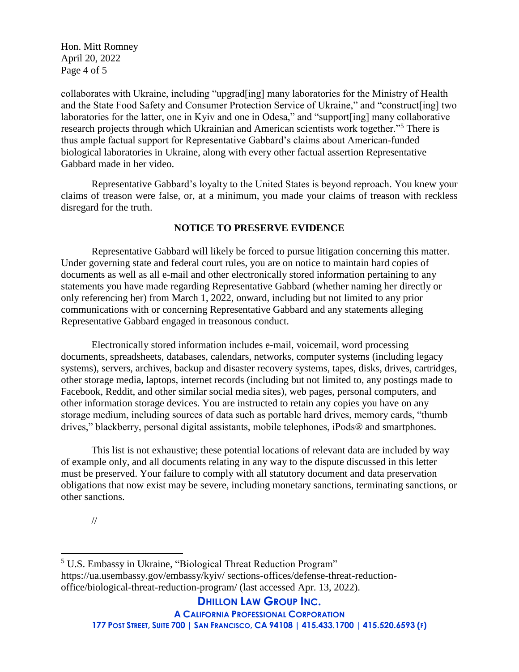Hon. Mitt Romney April 20, 2022 Page 4 of 5

collaborates with Ukraine, including "upgrad[ing] many laboratories for the Ministry of Health and the State Food Safety and Consumer Protection Service of Ukraine," and "construct[ing] two laboratories for the latter, one in Kyiv and one in Odesa," and "support[ing] many collaborative research projects through which Ukrainian and American scientists work together."<sup>5</sup> There is thus ample factual support for Representative Gabbard's claims about American-funded biological laboratories in Ukraine, along with every other factual assertion Representative Gabbard made in her video.

Representative Gabbard's loyalty to the United States is beyond reproach. You knew your claims of treason were false, or, at a minimum, you made your claims of treason with reckless disregard for the truth.

## **NOTICE TO PRESERVE EVIDENCE**

Representative Gabbard will likely be forced to pursue litigation concerning this matter. Under governing state and federal court rules, you are on notice to maintain hard copies of documents as well as all e-mail and other electronically stored information pertaining to any statements you have made regarding Representative Gabbard (whether naming her directly or only referencing her) from March 1, 2022, onward, including but not limited to any prior communications with or concerning Representative Gabbard and any statements alleging Representative Gabbard engaged in treasonous conduct.

Electronically stored information includes e-mail, voicemail, word processing documents, spreadsheets, databases, calendars, networks, computer systems (including legacy systems), servers, archives, backup and disaster recovery systems, tapes, disks, drives, cartridges, other storage media, laptops, internet records (including but not limited to, any postings made to Facebook, Reddit, and other similar social media sites), web pages, personal computers, and other information storage devices. You are instructed to retain any copies you have on any storage medium, including sources of data such as portable hard drives, memory cards, "thumb drives," blackberry, personal digital assistants, mobile telephones, iPods® and smartphones.

This list is not exhaustive; these potential locations of relevant data are included by way of example only, and all documents relating in any way to the dispute discussed in this letter must be preserved. Your failure to comply with all statutory document and data preservation obligations that now exist may be severe, including monetary sanctions, terminating sanctions, or other sanctions.

//

 $\overline{a}$ 

**DHILLON LAW GROUP INC.**

**A CALIFORNIA PROFESSIONAL CORPORATION**

177 POST STREET, SUITE 700 | SAN FRANCISCO, CA 94108 | 415.433.1700 | 415.520.6593 (F)

<sup>5</sup> U.S. Embassy in Ukraine, "Biological Threat Reduction Program" https://ua.usembassy.gov/embassy/kyiv/ sections-offices/defense-threat-reductionoffice/biological-threat-reduction-program/ (last accessed Apr. 13, 2022).